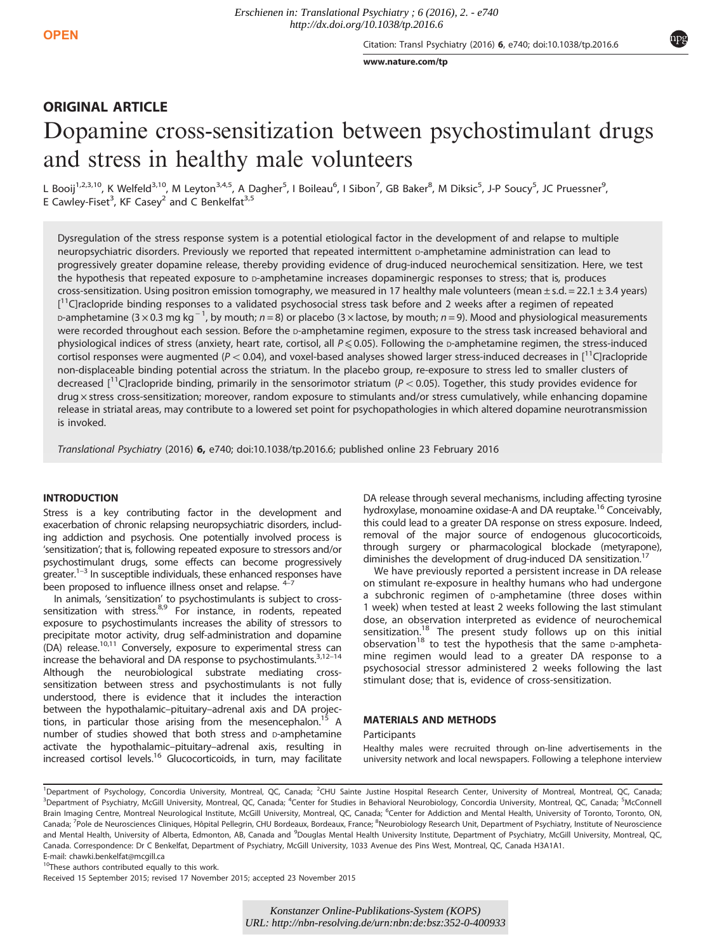Citation: Transl Psychiatry (2016) 6, e740; doi:10.1038/tp.2016.6

[www.nature.com/tp](http://www.nature.com/tp)

# ORIGINAL ARTICLE Dopamine cross-sensitization between psychostimulant drugs and stress in healthy male volunteers

L Booij<sup>1,2,3,10</sup>, K Welfeld<sup>3,10</sup>, M Leyton<sup>3,4,5</sup>, A Dagher<sup>5</sup>, I Boileau<sup>6</sup>, I Sibon<sup>7</sup>, GB Baker<sup>8</sup>, M Diksic<sup>5</sup>, J-P Soucy<sup>5</sup>, JC Pruessner<sup>9</sup>, E Cawley-Fiset<sup>3</sup>, KF Casey<sup>2</sup> and C Benkelfat<sup>3,5</sup>

Dysregulation of the stress response system is a potential etiological factor in the development of and relapse to multiple neuropsychiatric disorders. Previously we reported that repeated intermittent D-amphetamine administration can lead to progressively greater dopamine release, thereby providing evidence of drug-induced neurochemical sensitization. Here, we test the hypothesis that repeated exposure to D-amphetamine increases dopaminergic responses to stress; that is, produces cross-sensitization. Using positron emission tomography, we measured in 17 healthy male volunteers (mean  $\pm$  s.d. = 22.1  $\pm$  3.4 years) [<sup>11</sup>C]raclopride binding responses to a validated psychosocial stress task before and 2 weeks after a regimen of repeated D-amphetamine (3 × 0.3 mg kg<sup>-1</sup>, by mouth; n = 8) or placebo (3 × lactose, by mouth; n = 9). Mood and physiological measurements were recorded throughout each session. Before the D-amphetamine regimen, exposure to the stress task increased behavioral and physiological indices of stress (anxiety, heart rate, cortisol, all  $P \le 0.05$ ). Following the D-amphetamine regimen, the stress-induced cortisol responses were augmented ( $P < 0.04$ ), and voxel-based analyses showed larger stress-induced decreases in  $\left[$ <sup>11</sup>C]raclopride non-displaceable binding potential across the striatum. In the placebo group, re-exposure to stress led to smaller clusters of decreased  $\left[^{11}C\right]$ raclopride binding, primarily in the sensorimotor striatum (P < 0.05). Together, this study provides evidence for drug × stress cross-sensitization; moreover, random exposure to stimulants and/or stress cumulatively, while enhancing dopamine release in striatal areas, may contribute to a lowered set point for psychopathologies in which altered dopamine neurotransmission is invoked.

Translational Psychiatry (2016) 6, e740; doi:10.1038/tp.2016.6; published online 23 February 2016

# **INTRODUCTION**

Stress is a key contributing factor in the development and exacerbation of chronic relapsing neuropsychiatric disorders, including addiction and psychosis. One potentially involved process is 'sensitization'; that is, following repeated exposure to stressors and/or psycho[stim](#page-5-0)ulant drugs, some effects can become progressively greater.<sup>1–3</sup> In susceptible individuals, these enhanced r[espo](#page-5-0)nses have been proposed to influence illness onset and relapse.  $4-7$ 

In animals, 'sensitization' to psychostimulants is subject to crosssensitization with stress[.8,9](#page-5-0) For instance, in rodents, repeated exposure to psychostimulants increases the ability of stressors to precipitate motor activity, drug self-administration and dopamine (DA) release.<sup>[10,11](#page-5-0)</sup> Conversely, exposure to experimental stress can increase the behavioral and DA response to psychostimulants.<sup>[3](#page-5-0)[,12](#page-6-0)-14</sup> Although the neurobiological substrate mediating crosssensitization between stress and psychostimulants is not fully understood, there is evidence that it includes the interaction between the hypothalamic–pituitary–adrenal axis and DA projections, in particular those arising from the mesencephalon.<sup>15</sup> A number of studies showed that both stress and D-amphetamine activate the hypothalamic–pituitary–adrenal axis, resulting in increased cortisol levels.<sup>16</sup> Glucocorticoids, in turn, may facilitate DA release through several mechanisms, including affecting tyrosine hydroxylase, monoamine oxidase-A and DA reuptake.<sup>16</sup> Conceivably, this could lead to a greater DA response on stress exposure. Indeed, removal of the major source of endogenous glucocorticoids, through surgery or pharmacological blockade (metyrapone), diminishes the development of drug-induced DA sensitization.<sup>17</sup>

We have previously reported a persistent increase in DA release on stimulant re-exposure in healthy humans who had undergone a subchronic regimen of p-amphetamine (three doses within 1 week) when tested at least 2 weeks following the last stimulant dose, an observation interpreted as evidence of neurochemical sensitization.<sup>[18](#page-6-0)</sup> The present study follows up on this initial observation<sup>[18](#page-6-0)</sup> to test the hypothesis that the same  $D$ -amphetamine regimen would lead to a greater DA response to a psychosocial stressor administered 2 weeks following the last stimulant dose; that is, evidence of cross-sensitization.

## MATERIALS AND METHODS

## Participants

Healthy males were recruited through on-line advertisements in the university network and local newspapers. Following a telephone interview

<sup>10</sup>These authors contributed equally to this work.

Received 15 September 2015; revised 17 November 2015; accepted 23 November 2015

*Konstanzer Online-Publikations-System (KOPS) [URL: http://nbn-resolving.de/urn:nbn:de:bsz:352-0-400933](http://nbn-resolving.de/urn:nbn:de:bsz:352-0-400933)*

<sup>&</sup>lt;sup>1</sup>Department of Psychology, Concordia University, Montreal, QC, Canada; <sup>2</sup>CHU Sainte Justine Hospital Research Center, University of Montreal, Montreal, QC, Canada; <sup>3</sup>Department of Psychiatry, McGill University, Montreal, QC, Canada; <sup>4</sup>Center for Studies in Behavioral Neurobiology, Concordia University, Montreal, QC, Canada; <sup>5</sup>McConnell Brain Imaging Centre, Montreal Neurological Institute, McGill University, Montreal, QC, Canada; <sup>6</sup>Center for Addiction and Mental Health, University of Toronto, Toronto, ON, Canada; <sup>7</sup>Pole de Neurosciences Cliniques, Hôpital Pellegrin, CHU Bordeaux, Bordeaux, France; <sup>8</sup>Neurobiology Research Unit, Department of Psychiatry, Institute of Neuroscience and Mental Health, University of Alberta, Edmonton, AB, Canada and <sup>9</sup>Douglas Mental Health University Institute, Department of Psychiatry, McGill University, Montreal, QC, Canada. Correspondence: Dr C Benkelfat, Department of Psychiatry, McGill University, 1033 Avenue des Pins West, Montreal, QC, Canada H3A1A1. E-mail: [chawki.benkelfat@mcgill.ca](mailto:chawki.benkelfat@mcgill.ca)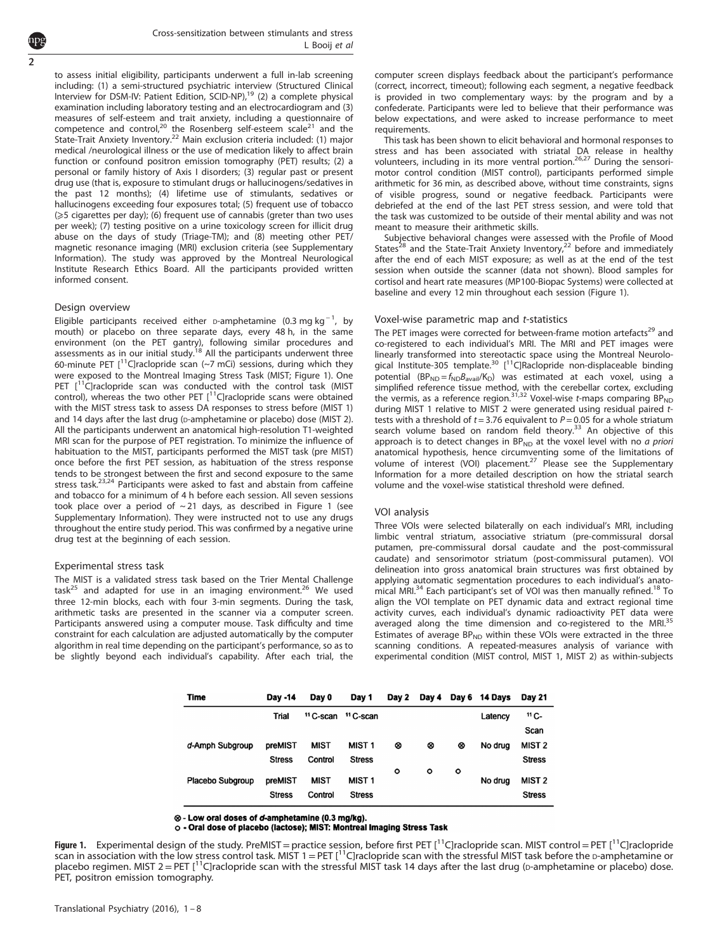to assess initial eligibility, participants underwent a full in-lab screening including: (1) a semi-structured psychiatric interview (Structured Clinical Interview for DSM-IV: Patient Edition, SCID-NP),<sup>19</sup> (2) a complete physical examination including laboratory testing and an electrocardiogram and (3) measures of self-esteem and trait anxiety, including a questionnaire of competence and control,<sup>[20](#page-6-0)</sup> the Rosenberg self-esteem scale<sup>[21](#page-6-0)</sup> and the State-Trait Anxiety Inventory.<sup>[22](#page-6-0)</sup> Main exclusion criteria included: (1) major medical /neurological illness or the use of medication likely to affect brain function or confound positron emission tomography (PET) results; (2) a personal or family history of Axis I disorders; (3) regular past or present drug use (that is, exposure to stimulant drugs or hallucinogens/sedatives in the past 12 months); (4) lifetime use of stimulants, sedatives or hallucinogens exceeding four exposures total; (5) frequent use of tobacco (≥5 cigarettes per day); (6) frequent use of cannabis (greter than two uses per week); (7) testing positive on a urine toxicology screen for illicit drug abuse on the days of study (Triage-TM); and (8) meeting other PET/ magnetic resonance imaging (MRI) exclusion criteria (see Supplementary Information). The study was approved by the Montreal Neurological Institute Research Ethics Board. All the participants provided written informed consent.

## Design overview

2

Eligible participants received either D-amphetamine (0.3 mg kg<sup>-1</sup>, by mouth) or placebo on three separate days, every 48 h, in the same environment (on the PET gantry), following similar procedures and<br>assessments as in our initial study.<sup>[18](#page-6-0)</sup> All the participants underwent three 60-minute PET  $[11C]$ raclopride scan (~7 mCi) sessions, during which they were exposed to the Montreal Imaging Stress Task (MIST; Figure 1). One PET  $[11C]$ raclopride scan was conducted with the control task (MIST control), whereas the two other PET  $[11C]$ raclopride scans were obtained with the MIST stress task to assess DA responses to stress before (MIST 1) and 14 days after the last drug (p-amphetamine or placebo) dose (MIST 2). All the participants underwent an anatomical high-resolution T1-weighted MRI scan for the purpose of PET registration. To minimize the influence of habituation to the MIST, participants performed the MIST task (pre MIST) once before the first PET session, as habituation of the stress response tends to be strongest between the first and second exposure to the same stress task.<sup>[23,24](#page-6-0)</sup> Participants were asked to fast and abstain from caffeine and tobacco for a minimum of 4 h before each session. All seven sessions took place over a period of  $\sim$  21 days, as described in Figure 1 (see Supplementary Information). They were instructed not to use any drugs throughout the entire study period. This was confirmed by a negative urine drug test at the beginning of each session.

#### Experimental stress task

The MIST is a validated stress task based on the Trier Mental Challenge  $task^{25}$  $task^{25}$  $task^{25}$  and adapted for use in an imaging environment.<sup>[26](#page-6-0)</sup> We used three 12-min blocks, each with four 3-min segments. During the task, arithmetic tasks are presented in the scanner via a computer screen. Participants answered using a computer mouse. Task difficulty and time constraint for each calculation are adjusted automatically by the computer algorithm in real time depending on the participant's performance, so as to be slightly beyond each individual's capability. After each trial, the computer screen displays feedback about the participant's performance (correct, incorrect, timeout); following each segment, a negative feedback is provided in two complementary ways: by the program and by a confederate. Participants were led to believe that their performance was below expectations, and were asked to increase performance to meet requirements.

This task has been shown to elicit behavioral and hormonal responses to stress and has been associated with striatal DA release in healthy volunteers, including in its more ventral portion[.26](#page-6-0),[27](#page-6-0) During the sensorimotor control condition (MIST control), participants performed simple arithmetic for 36 min, as described above, without time constraints, signs of visible progress, sound or negative feedback. Participants were debriefed at the end of the last PET stress session, and were told that the task was customized to be outside of their mental ability and was not meant to measure their arithmetic skills.

Subjective behavioral changes were assessed with the Profile of Mood States<sup>28</sup> and the State-Trait Anxiety Inventory,<sup>22</sup> before and immediately after the end of each MIST exposure; as well as at the end of the test session when outside the scanner (data not shown). Blood samples for cortisol and heart rate measures (MP100-Biopac Systems) were collected at baseline and every 12 min throughout each session (Figure 1).

### Voxel-wise parametric map and t-statistics

The PET images were corrected for between-frame motion artefacts<sup>29</sup> and co-registered to each individual's MRI. The MRI and PET images were linearly transformed into stereotactic space using the Montreal Neurological Institute-305 template.<sup>30</sup> [<sup>11</sup>C]Raclopride non-displaceable binding potential (BP<sub>ND</sub>= $f_{ND}B_{\text{avail}}/K_D$ ) was estimated at each voxel, using a simplified reference tissue method, with the cerebellar cortex, excluding the vermis, as a reference region.<sup>[31,32](#page-6-0)</sup> Voxel-wise t-maps comparing  $BP_{ND}$ during MIST 1 relative to MIST 2 were generated using residual paired ttests with a threshold of  $t = 3.76$  equivalent to  $P = 0.05$  for a whole striatum search volume based on random field theory.<sup>[33](#page-6-0)</sup> An objective of this approach is to detect changes in  $BP_{ND}$  at the voxel level with no a priori anatomical hypothesis, hence circumventing some of the limitations of volume of interest (VOI) placement.<sup>[27](#page-6-0)</sup> Please see the Supplementary Information for a more detailed description on how the striatal search volume and the voxel-wise statistical threshold were defined.

#### VOI analysis

Three VOIs were selected bilaterally on each individual's MRI, including limbic ventral striatum, associative striatum (pre-commissural dorsal putamen, pre-commissural dorsal caudate and the post-commissural caudate) and sensorimotor striatum (post-commissural putamen). VOI delineation into gross anatomical brain structures was first obtained by applying automatic segmentation procedures to each individual's anato-mical MRI.<sup>[34](#page-6-0)</sup> Each participant's set of VOI was then manually refined.<sup>[18](#page-6-0)</sup> To align the VOI template on PET dynamic data and extract regional time activity curves, each individual's dynamic radioactivity PET data were averaged along the time dimension and co-registered to the MRI.<sup>35</sup> Estimates of average  $BP_{ND}$  within these VOIs were extracted in the three scanning conditions. A repeated-measures analysis of variance with experimental condition (MIST control, MIST 1, MIST 2) as within-subjects

| Time             | Day -14       | Day 0                | Dav 1                | Day 2 |         |         | Day 4 Day 6 14 Days | <b>Day 21</b>     |
|------------------|---------------|----------------------|----------------------|-------|---------|---------|---------------------|-------------------|
|                  | Trial         | <sup>11</sup> C-scan | <sup>11</sup> C-scan |       |         |         | Latency             | $11 C -$          |
|                  |               |                      |                      |       |         |         |                     | Scan              |
| d-Amph Subgroup  | preMIST       | <b>MIST</b>          | <b>MIST1</b>         | ⊗     | ⊗       | ⊗       | No drua             | MIST <sub>2</sub> |
|                  | <b>Stress</b> | Control              | <b>Stress</b>        |       |         |         |                     | <b>Stress</b>     |
|                  |               |                      |                      | ۰     | $\circ$ | $\circ$ |                     |                   |
| Placebo Subgroup | preMIST       | <b>MIST</b>          | <b>MIST1</b>         |       |         |         | No drug             | MIST <sub>2</sub> |
|                  | <b>Stress</b> | Control              | <b>Stress</b>        |       |         |         |                     | <b>Stress</b>     |

⊗ - Low oral doses of d-amphetamine (0.3 mg/kg).

o - Oral dose of placebo (lactose); MIST: Montreal Imaging Stress Task

Figure 1. Experimental design of the study. PreMIST = practice session, before first PET  $[11C]$ raclopride scan. MIST control = PET  $[11C]$ raclopride scan in association with the low stress control task. MIST  $1 = PET \int_0^1 C |r| \, dr$  can with the stressful MIST task before the p-amphetamine or placebo regimen. MIST 2 =PET [11C]raclopride scan with the stressful MIST task 14 days after the last drug (D-amphetamine or placebo) dose. PET, positron emission tomography.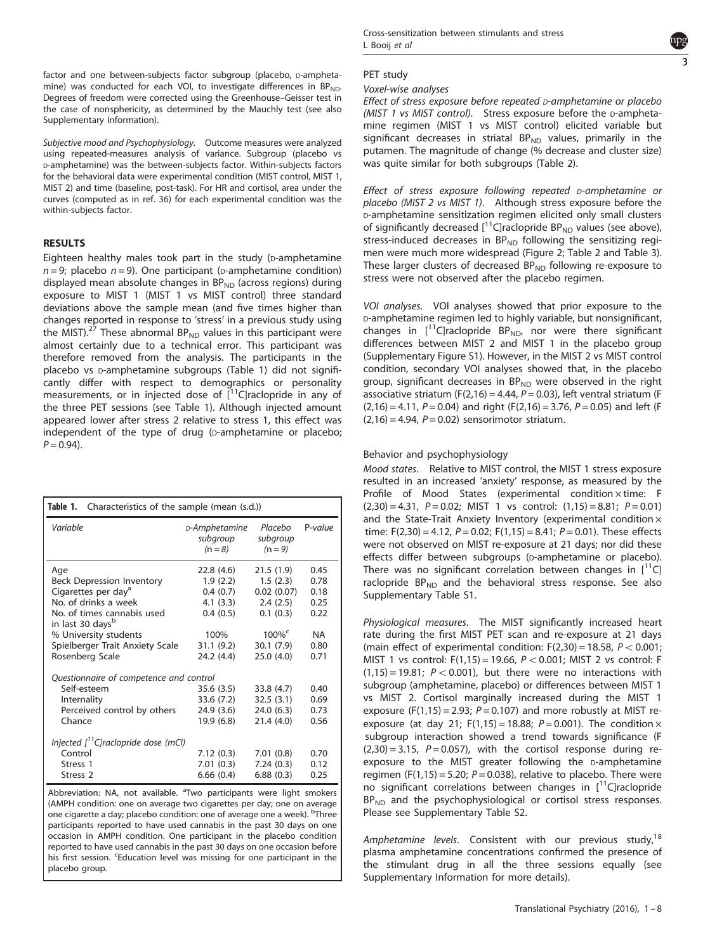factor and one between-subjects factor subgroup (placebo, p-amphetamine) was conducted for each VOI, to investigate differences in  $BP_{ND}$ . Degrees of freedom were corrected using the Greenhouse–Geisser test in the case of nonsphericity, as determined by the Mauchly test (see also Supplementary Information).

Subjective mood and Psychophysiology. Outcome measures were analyzed using repeated-measures analysis of variance. Subgroup (placebo vs <sup>D</sup>-amphetamine) was the between-subjects factor. Within-subjects factors for the behavioral data were experimental condition (MIST control, MIST 1, MIST 2) and time (baseline, post-task). For HR and cortisol, area under the curves (computed as in ref. [36](#page-6-0)) for each experimental condition was the within-subjects factor.

## RESULTS

Eighteen healthy males took part in the study (p-amphetamine  $n = 9$ ; placebo  $n = 9$ ). One participant (p-amphetamine condition) displayed mean absolute changes in  $BP_{ND}$  (across regions) during exposure to MIST 1 (MIST 1 vs MIST control) three standard deviations above the sample mean (and five times higher than changes reported in response to 'stress' in a previous study using the MIST).<sup>[27](#page-6-0)</sup> These abnormal BP<sub>ND</sub> values in this participant were almost certainly due to a technical error. This participant was therefore removed from the analysis. The participants in the placebo vs <sup>D</sup>-amphetamine subgroups (Table 1) did not significantly differ with respect to demographics or personality measurements, or in injected dose of  $\left[11 \text{C}\right]$  raclopride in any of the three PET sessions (see Table 1). Although injected amount appeared lower after stress 2 relative to stress 1, this effect was independent of the type of drug (D-amphetamine or placebo;  $P = 0.94$ ).

| Table 1.<br>Characteristics of the sample (mean (s.d.))                                                                                                                                                                                         |                                                                                               |                                                                                                                |                                                             |  |  |  |
|-------------------------------------------------------------------------------------------------------------------------------------------------------------------------------------------------------------------------------------------------|-----------------------------------------------------------------------------------------------|----------------------------------------------------------------------------------------------------------------|-------------------------------------------------------------|--|--|--|
| Variable                                                                                                                                                                                                                                        | <sub>D</sub> -Amphetamine<br>subgroup<br>$(n = 8)$                                            | Placebo<br>subgroup<br>$(n = 9)$                                                                               | $P-value$                                                   |  |  |  |
| Age<br><b>Beck Depression Inventory</b><br>Cigarettes per day <sup>a</sup><br>No. of drinks a week<br>No. of times cannabis used<br>in last 30 days <sup>b</sup><br>% University students<br>Spielberger Trait Anxiety Scale<br>Rosenberg Scale | 22.8(4.6)<br>1.9(2.2)<br>0.4(0.7)<br>4.1(3.3)<br>0.4(0.5)<br>100%<br>31.1 (9.2)<br>24.2 (4.4) | 21.5(1.9)<br>1.5(2.3)<br>0.02(0.07)<br>2.4(2.5)<br>0.1(0.3)<br>$100\%$ <sup>c</sup><br>30.1 (7.9)<br>25.0(4.0) | 0.45<br>0.78<br>0.18<br>0.25<br>0.22<br>NA.<br>0.80<br>0.71 |  |  |  |
| Questionnaire of competence and control<br>Self-esteem<br>Internality<br>Perceived control by others<br>Chance<br>Injected $\int$ <sup>11</sup> C]raclopride dose (mCl)<br>Control<br>Stress <sub>1</sub><br>Stress <sub>2</sub>                | 35.6(3.5)<br>33.6 (7.2)<br>24.9(3.6)<br>19.9 (6.8)<br>7.12(0.3)<br>7.01(0.3)<br>6.66(0.4)     | 33.8 (4.7)<br>32.5(3.1)<br>24.0 (6.3)<br>21.4 (4.0)<br>7.01(0.8)<br>7.24(0.3)<br>6.88(0.3)                     | 0.40<br>0.69<br>0.73<br>0.56<br>0.70<br>0.12<br>0.25        |  |  |  |

Abbreviation: NA, not available. <sup>a</sup>Two participants were light smokers (AMPH condition: one on average two cigarettes per day; one on average one cigarette a day; placebo condition: one of average one a week). <sup>b</sup>Three participants reported to have used cannabis in the past 30 days on one occasion in AMPH condition. One participant in the placebo condition reported to have used cannabis in the past 30 days on one occasion before his first session. <sup>c</sup>Education level was missing for one participant in the placebo group.



## PET study Voxel-wise analyses

Effect of stress exposure before repeated p-amphetamine or placebo (MIST 1 vs MIST control). Stress exposure before the D-amphetamine regimen (MIST 1 vs MIST control) elicited variable but significant decreases in striatal  $BP_{ND}$  values, primarily in the putamen. The magnitude of change (% decrease and cluster size) was quite similar for both subgroups [\(Table 2\)](#page-3-0).

Effect of stress exposure following repeated D-amphetamine or placebo (MIST 2 vs MIST 1). Although stress exposure before the D-amphetamine sensitization regimen elicited only small clusters of significantly decreased  $\left[ {}^{11}C\right]$ raclopride BP<sub>ND</sub> values (see above), stress-induced decreases in  $BP_{ND}$  following the sensitizing regimen were much more widespread ([Figure 2](#page-3-0); [Table 2](#page-3-0) and [Table 3\)](#page-4-0). These larger clusters of decreased  $BP_{ND}$  following re-exposure to stress were not observed after the placebo regimen.

VOI analyses. VOI analyses showed that prior exposure to the D-amphetamine regimen led to highly variable, but nonsignificant, changes in  $[$ <sup>11</sup>C]raclopride BP<sub>ND</sub>, nor were there significant differences between MIST 2 and MIST 1 in the placebo group (Supplementary Figure S1). However, in the MIST 2 vs MIST control condition, secondary VOI analyses showed that, in the placebo group, significant decreases in  $BP_{ND}$  were observed in the right associative striatum (F(2,16) = 4.44,  $P = 0.03$ ), left ventral striatum (F  $(2,16) = 4.11$ ,  $P = 0.04$ ) and right  $(F(2,16) = 3.76, P = 0.05)$  and left (F  $(2,16) = 4.94$ ,  $P = 0.02$ ) sensorimotor striatum.

# Behavior and psychophysiology

Mood states. Relative to MIST control, the MIST 1 stress exposure resulted in an increased 'anxiety' response, as measured by the Profile of Mood States (experimental condition × time: F  $(2,30) = 4.31$ ,  $P = 0.02$ ; MIST 1 vs control:  $(1,15) = 8.81$ ;  $P = 0.01$ ) and the State-Trait Anxiety Inventory (experimental condition  $\times$ time:  $F(2,30) = 4.12$ ,  $P = 0.02$ ;  $F(1,15) = 8.41$ ;  $P = 0.01$ ). These effects were not observed on MIST re-exposure at 21 days; nor did these effects differ between subgroups (D-amphetamine or placebo). There was no significant correlation between changes in  $[^{11}C]$ raclopride  $BP_{ND}$  and the behavioral stress response. See also Supplementary Table S1.

Physiological measures. The MIST significantly increased heart rate during the first MIST PET scan and re-exposure at 21 days (main effect of experimental condition:  $F(2,30) = 18.58$ ,  $P < 0.001$ ; MIST 1 vs control:  $F(1,15) = 19.66$ ,  $P < 0.001$ ; MIST 2 vs control: F  $(1,15) = 19.81$ ;  $P < 0.001$ ), but there were no interactions with subgroup (amphetamine, placebo) or differences between MIST 1 vs MIST 2. Cortisol marginally increased during the MIST 1 exposure (F(1,15) = 2.93;  $P = 0.107$ ) and more robustly at MIST reexposure (at day 21; F(1,15) = 18.88;  $P = 0.001$ ). The condition  $\times$ subgroup interaction showed a trend towards significance (F  $(2,30) = 3.15$ ,  $P = 0.057$ ), with the cortisol response during reexposure to the MIST greater following the D-amphetamine regimen (F(1,15) = 5.20;  $P = 0.038$ ), relative to placebo. There were no significant correlations between changes in  $[^{11}C]$ raclopride  $BP<sub>ND</sub>$  and the psychophysiological or cortisol stress responses. Please see Supplementary Table S2.

Amphetamine levels. Consistent with our previous study,  $18$ plasma amphetamine concentrations confirmed the presence of the stimulant drug in all the three sessions equally (see Supplementary Information for more details).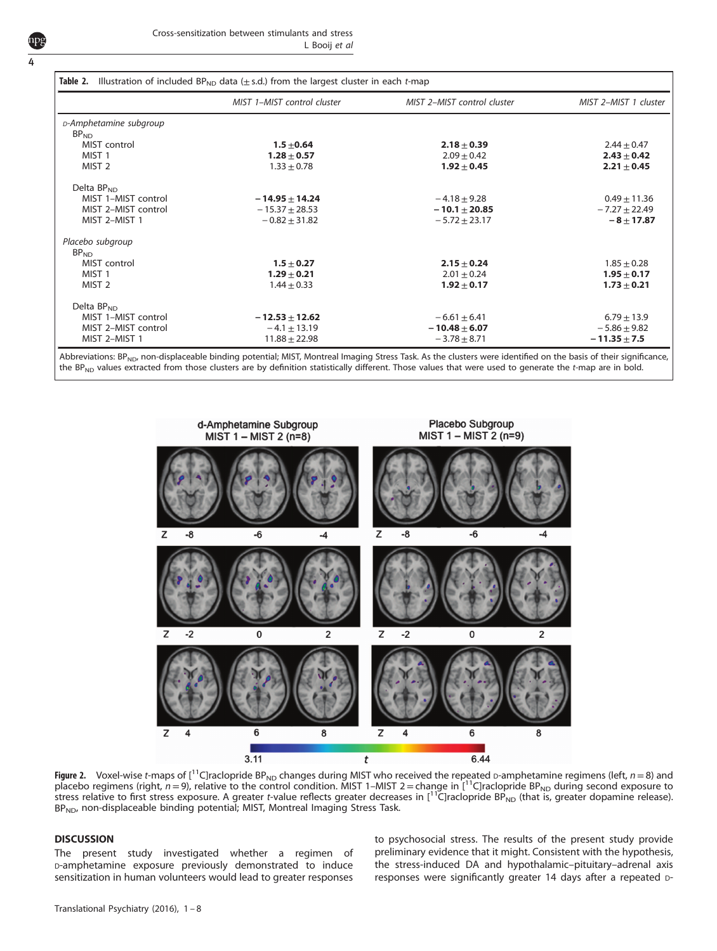|                        | MIST 1-MIST control cluster | MIST 2-MIST control cluster | MIST 2-MIST 1 cluster |  |
|------------------------|-----------------------------|-----------------------------|-----------------------|--|
| D-Amphetamine subgroup |                             |                             |                       |  |
| BP <sub>ND</sub>       |                             |                             |                       |  |
| MIST control           | $1.5 + 0.64$                | $2.18 \pm 0.39$             | $2.44 \pm 0.47$       |  |
| MIST 1                 | $1.28 \pm 0.57$             | $2.09 + 0.42$               | $2.43 \pm 0.42$       |  |
| MIST <sub>2</sub>      | $1.33 \pm 0.78$             | $1.92 \pm 0.45$             | $2.21 \pm 0.45$       |  |
| Delta BP <sub>ND</sub> |                             |                             |                       |  |
| MIST 1-MIST control    | $-14.95 + 14.24$            | $-4.18 \pm 9.28$            | $0.49 \pm 11.36$      |  |
| MIST 2-MIST control    | $-15.37 + 28.53$            | $-10.1 \pm 20.85$           | $-7.27 \pm 22.49$     |  |
| MIST 2-MIST 1          | $-0.82 \pm 31.82$           | $-5.72 \pm 23.17$           | $-8 + 17.87$          |  |
| Placebo subgroup       |                             |                             |                       |  |
| BP <sub>ND</sub>       |                             |                             |                       |  |
| MIST control           | $1.5 \pm 0.27$              | $2.15 \pm 0.24$             | $1.85 \pm 0.28$       |  |
| MIST 1                 | $1.29 \pm 0.21$             | $2.01 \pm 0.24$             | $1.95 \pm 0.17$       |  |
| MIST <sub>2</sub>      | $1.44 \pm 0.33$             | $1.92 \pm 0.17$             | $1.73 \pm 0.21$       |  |
| Delta BP <sub>ND</sub> |                             |                             |                       |  |
| MIST 1-MIST control    | $-12.53 + 12.62$            | $-6.61 \pm 6.41$            | $6.79 \pm 13.9$       |  |
| MIST 2-MIST control    | $-4.1 \pm 13.19$            | $-10.48 + 6.07$             | $-5.86 \pm 9.82$      |  |
| MIST 2-MIST 1          | $11.88 \pm 22.98$           | $-3.78 \pm 8.71$            | $-11.35 + 7.5$        |  |

Abbreviations: BP<sub>ND</sub>, non-displaceable binding potential; MIST, Montreal Imaging Stress Task. As the clusters were identified on the basis of their significance, the BP<sub>ND</sub> values extracted from those clusters are by definition statistically different. Those values that were used to generate the t-map are in bold.



**Figure 2.** Voxel-wise *t*-maps of [<sup>11</sup>C]raclopride BP<sub>ND</sub> changes during MIST who received the repeated <mark>p-amphetamine regimens (left, *n* = 8)</mark> and<br>placebo regimens (right, *n* = 9), relative to the control condition. stress relative to first stress exposure. A greater t-value reflects greater decreases in [<sup>11</sup>C]raclopride BP<sub>ND</sub> (that is, greater dopamine release). BP<sub>ND</sub>, non-displaceable binding potential; MIST, Montreal Imaging Stress Task.

## **DISCUSSION**

The present study investigated whether a regimen of <sup>D</sup>-amphetamine exposure previously demonstrated to induce sensitization in human volunteers would lead to greater responses to psychosocial stress. The results of the present study provide preliminary evidence that it might. Consistent with the hypothesis, the stress-induced DA and hypothalamic–pituitary–adrenal axis responses were significantly greater 14 days after a repeated <sup>D</sup>-

<span id="page-3-0"></span>4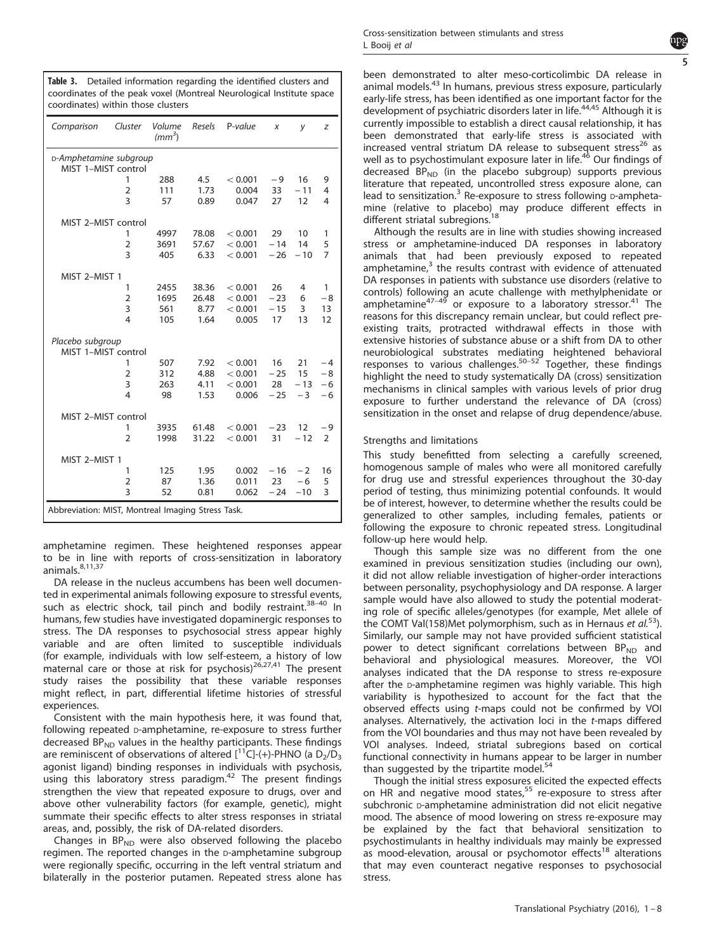

<span id="page-4-0"></span>Table 3. Detailed information regarding the identified clusters and coordinates of the peak voxel (Montreal Neurological Institute space coordinates) within those clusters

| Comparison                                        | Cluster        | Volume<br>$\left(mm^3\right)$ | Resels | P-value | X     | y     | z              |
|---------------------------------------------------|----------------|-------------------------------|--------|---------|-------|-------|----------------|
| D-Amphetamine subgroup<br>MIST 1-MIST control     |                |                               |        |         |       |       |                |
|                                                   | 1              | 288                           | 4.5    | < 0.001 | $-9$  | 16    | 9              |
|                                                   | $\overline{2}$ | 111                           | 1.73   | 0.004   | 33    | $-11$ | 4              |
|                                                   | 3              | 57                            | 0.89   | 0.047   | 27    | 12    | 4              |
| MIST 2-MIST control                               |                |                               |        |         |       |       |                |
|                                                   | 1              | 4997                          | 78.08  | < 0.001 | 29    | 10    | 1              |
|                                                   | $\overline{2}$ | 3691                          | 57.67  | < 0.001 | $-14$ | 14    | 5              |
|                                                   | 3              | 405                           | 6.33   | < 0.001 | $-26$ | $-10$ | 7              |
| MIST 2-MIST 1                                     |                |                               |        |         |       |       |                |
|                                                   | 1              | 2455                          | 38.36  | < 0.001 | 26    | 4     | 1              |
|                                                   | $\overline{2}$ | 1695                          | 26.48  | < 0.001 | $-23$ | 6     | $-8$           |
|                                                   | 3              | 561                           | 8.77   | < 0.001 | $-15$ | 3     | 13             |
|                                                   | $\overline{4}$ | 105                           | 1.64   | 0.005   | 17    | 13    | 12             |
| Placebo subgroup                                  |                |                               |        |         |       |       |                |
| MIST 1-MIST control                               |                |                               |        |         |       |       |                |
|                                                   | 1              | 507                           | 7.92   | < 0.001 | 16    | 21    | -4             |
|                                                   | $\overline{2}$ | 312                           | 4.88   | < 0.001 | $-25$ | 15    | $-8$           |
|                                                   | 3              | 263                           | 4.11   | < 0.001 | 28    | $-13$ | $-6$           |
|                                                   | 4              | 98                            | 1.53   | 0.006   | $-25$ | $-3$  | $-6$           |
| MIST 2-MIST control                               |                |                               |        |         |       |       |                |
|                                                   | 1              | 3935                          | 61.48  | < 0.001 | $-23$ | 12    | - 9            |
|                                                   | $\overline{2}$ | 1998                          | 31.22  | < 0.001 | 31    | $-12$ | $\overline{2}$ |
| MIST 2-MIST 1                                     |                |                               |        |         |       |       |                |
|                                                   | 1              | 125                           | 1.95   | 0.002   | $-16$ | $-2$  | 16             |
|                                                   | $\overline{2}$ | 87                            | 1.36   | 0.011   | 23    | $-6$  | 5              |
|                                                   | 3              | 52                            | 0.81   | 0.062   | $-24$ | $-10$ | 3              |
| Abbreviation: MIST, Montreal Imaging Stress Task. |                |                               |        |         |       |       |                |

amphetamine regimen. These heightened responses appear to be in line with reports of cross-sensitization in laboratory animals. $8,11,37$  $8,11,37$ 

DA release in the nucleus accumbens has been well documented in experimental animals following exposure to stressful events, such as electric shock, tail pinch and bodily restraint.<sup>38-[40](#page-6-0)</sup> In humans, few studies have investigated dopaminergic responses to stress. The DA responses to psychosocial stress appear highly variable and are often limited to susceptible individuals (for example, individuals with low self-esteem, a history of low maternal care or those at risk for psychosis)<sup>[26](#page-6-0),[27](#page-6-0),[41](#page-6-0)</sup> The present study raises the possibility that these variable responses might reflect, in part, differential lifetime histories of stressful experiences.

Consistent with the main hypothesis here, it was found that, following repeated p-amphetamine, re-exposure to stress further decreased  $BP_{ND}$  values in the healthy participants. These findings are reminiscent of observations of altered  $[^{11}C]$ -(+)-PHNO (a  $D_2/D_3$ agonist ligand) binding responses in individuals with psychosis, using this laboratory stress paradigm.<sup>[42](#page-6-0)</sup> The present findings strengthen the view that repeated exposure to drugs, over and above other vulnerability factors (for example, genetic), might summate their specific effects to alter stress responses in striatal areas, and, possibly, the risk of DA-related disorders.

Changes in  $BP_{ND}$  were also observed following the placebo regimen. The reported changes in the D-amphetamine subgroup were regionally specific, occurring in the left ventral striatum and bilaterally in the posterior putamen. Repeated stress alone has been demonstrated to alter meso-corticolimbic DA release in animal models.<sup>[43](#page-6-0)</sup> In humans, previous stress exposure, particularly early-life stress, has been identified as one important factor for the development of psychiatric disorders later in life.<sup>[44,45](#page-6-0)</sup> Although it is currently impossible to establish a direct causal relationship, it has been demonstrated that early-life stress is associated with increased ventral striatum DA release to subsequent stress<sup>26</sup> as well as to psychostimulant exposure later in life.<sup>[46](#page-6-0)</sup> Our findings of decreased  $BP_{ND}$  (in the placebo subgroup) supports previous literature that repeated, uncontrolled stress exposure alone, can lead to sensitization.<sup>[3](#page-5-0)</sup> Re-exposure to stress following  $D$ -amphetamine (relative to placebo) may produce different effects in different striatal subregions.<sup>[18](#page-6-0)</sup>

Although the results are in line with studies showing increased stress or amphetamine-induced DA responses in laboratory animals that had been previously exposed to repeated amphetamine, $3$  the results contrast with evidence of attenuated DA responses in patients with substance use disorders (relative to controls) foll[owing](#page-6-0) an acute challenge with methylphenidate or amphetamine<sup>47–49</sup> or exposure to a laboratory stressor.<sup>[41](#page-6-0)</sup> The reasons for this discrepancy remain unclear, but could reflect preexisting traits, protracted withdrawal effects in those with extensive histories of substance abuse or a shift from DA to other neurobiological substrates mediating heightened behavioral<br>responses to various challenges.<sup>[50](#page-6-0)–52</sup> Together, these findings highlight the need to study systematically DA (cross) sensitization mechanisms in clinical samples with various levels of prior drug exposure to further understand the relevance of DA (cross) sensitization in the onset and relapse of drug dependence/abuse.

# Strengths and limitations

This study benefitted from selecting a carefully screened, homogenous sample of males who were all monitored carefully for drug use and stressful experiences throughout the 30-day period of testing, thus minimizing potential confounds. It would be of interest, however, to determine whether the results could be generalized to other samples, including females, patients or following the exposure to chronic repeated stress. Longitudinal follow-up here would help.

Though this sample size was no different from the one examined in previous sensitization studies (including our own), it did not allow reliable investigation of higher-order interactions between personality, psychophysiology and DA response. A larger sample would have also allowed to study the potential moderating role of specific alleles/genotypes (for example, Met allele of the COMT Val(158)Met polymorphism, such as in Hernaus et  $al$ <sup>53</sup>). Similarly, our sample may not have provided sufficient statistical power to detect significant correlations between  $BP_{ND}$  and behavioral and physiological measures. Moreover, the VOI analyses indicated that the DA response to stress re-exposure after the p-amphetamine regimen was highly variable. This high variability is hypothesized to account for the fact that the observed effects using t-maps could not be confirmed by VOI analyses. Alternatively, the activation loci in the t-maps differed from the VOI boundaries and thus may not have been revealed by VOI analyses. Indeed, striatal subregions based on cortical functional connectivity in humans appear to be larger in number than suggested by the tripartite model. $54$ 

Though the initial stress exposures elicited the expected effects<br>on HR and negative mood states,<sup>[55](#page-6-0)</sup> re-exposure to stress after subchronic <sub>D</sub>-amphetamine administration did not elicit negative mood. The absence of mood lowering on stress re-exposure may be explained by the fact that behavioral sensitization to psychostimulants in healthy individuals may mainly be expressed as mood-elevation, arousal or psychomotor effects<sup>[18](#page-6-0)</sup> alterations that may even counteract negative responses to psychosocial stress.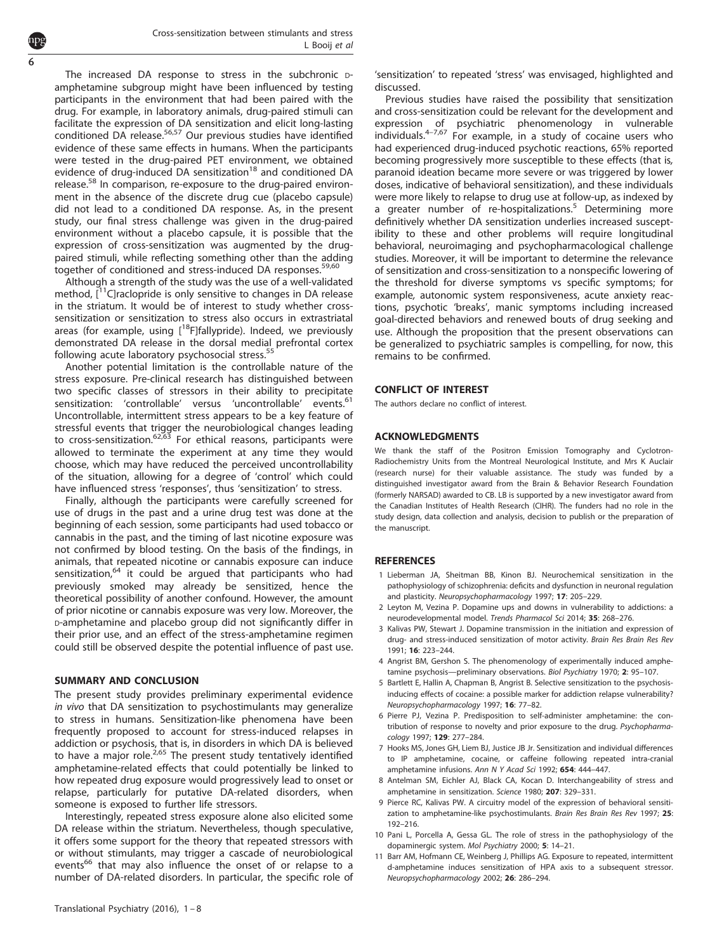<span id="page-5-0"></span>The increased DA response to stress in the subchronic Damphetamine subgroup might have been influenced by testing participants in the environment that had been paired with the drug. For example, in laboratory animals, drug-paired stimuli can facilitate the expression of DA sensitization and elicit long-lasting conditioned DA release.[56,57](#page-6-0) Our previous studies have identified evidence of these same effects in humans. When the participants were tested in the drug-paired PET environment, we obtained evidence of drug-induced DA sensitization<sup>[18](#page-6-0)</sup> and conditioned DA release.[58](#page-6-0) In comparison, re-exposure to the drug-paired environment in the absence of the discrete drug cue (placebo capsule) did not lead to a conditioned DA response. As, in the present study, our final stress challenge was given in the drug-paired environment without a placebo capsule, it is possible that the expression of cross-sensitization was augmented by the drugpaired stimuli, while reflecting something other than the adding together of conditioned and stress-induced DA responses.<sup>[59,60](#page-6-0)</sup>

Although a strength of the study was the use of a well-validated method,  $\left[1\right]$ C]raclopride is only sensitive to changes in DA release in the striatum. It would be of interest to study whether crosssensitization or sensitization to stress also occurs in extrastriatal areas (for example, using  $[$ <sup>18</sup>F]fallypride). Indeed, we previously demonstrated DA release in the dorsal medial prefrontal cortex following acute laboratory psychosocial stress.<sup>[55](#page-6-0)</sup>

Another potential limitation is the controllable nature of the stress exposure. Pre-clinical research has distinguished between two specific classes of stressors in their ability to precipitate sensitization: 'controllable' versus 'uncontrollable' events.<sup>[61](#page-6-0)</sup> Uncontrollable, intermittent stress appears to be a key feature of stressful events that trigger the neurobiological changes leading to cross-sensitization.<sup>[62,63](#page-6-0)</sup> For ethical reasons, participants were allowed to terminate the experiment at any time they would choose, which may have reduced the perceived uncontrollability of the situation, allowing for a degree of 'control' which could have influenced stress 'responses', thus 'sensitization' to stress.

Finally, although the participants were carefully screened for use of drugs in the past and a urine drug test was done at the beginning of each session, some participants had used tobacco or cannabis in the past, and the timing of last nicotine exposure was not confirmed by blood testing. On the basis of the findings, in animals, that repeated nicotine or cannabis exposure can induce sensitization,<sup>64</sup> it could be argued that participants who had previously smoked may already be sensitized, hence the theoretical possibility of another confound. However, the amount of prior nicotine or cannabis exposure was very low. Moreover, the <sup>D</sup>-amphetamine and placebo group did not significantly differ in their prior use, and an effect of the stress-amphetamine regimen could still be observed despite the potential influence of past use.

# SUMMARY AND CONCLUSION

The present study provides preliminary experimental evidence in vivo that DA sensitization to psychostimulants may generalize to stress in humans. Sensitization-like phenomena have been frequently proposed to account for stress-induced relapses in addiction or psychosis, that is, in disorders in which DA is believed to have a major role. $2,65$  $2,65$  The present study tentatively identified amphetamine-related effects that could potentially be linked to how repeated drug exposure would progressively lead to onset or relapse, particularly for putative DA-related disorders, when someone is exposed to further life stressors.

Interestingly, repeated stress exposure alone also elicited some DA release within the striatum. Nevertheless, though speculative, it offers some support for the theory that repeated stressors with or without stimulants, may trigger a cascade of neurobiological events<sup>[66](#page-7-0)</sup> that may also influence the onset of or relapse to a number of DA-related disorders. In particular, the specific role of 'sensitization' to repeated 'stress' was envisaged, highlighted and discussed.

Previous studies have raised the possibility that sensitization and cross-sensitization could be relevant for the development and expression of psychiatric phenomenology in vulnerable<br>individuals.<sup>4–7,[67](#page-7-0)</sup> For example, in a study of cocaine users who had experienced drug-induced psychotic reactions, 65% reported becoming progressively more susceptible to these effects (that is, paranoid ideation became more severe or was triggered by lower doses, indicative of behavioral sensitization), and these individuals were more likely to relapse to drug use at follow-up, as indexed by a greater number of re-hospitalizations.<sup>5</sup> Determining more definitively whether DA sensitization underlies increased susceptibility to these and other problems will require longitudinal behavioral, neuroimaging and psychopharmacological challenge studies. Moreover, it will be important to determine the relevance of sensitization and cross-sensitization to a nonspecific lowering of the threshold for diverse symptoms vs specific symptoms; for example, autonomic system responsiveness, acute anxiety reactions, psychotic 'breaks', manic symptoms including increased goal-directed behaviors and renewed bouts of drug seeking and use. Although the proposition that the present observations can be generalized to psychiatric samples is compelling, for now, this remains to be confirmed.

#### CONFLICT OF INTEREST

The authors declare no conflict of interest.

#### ACKNOWLEDGMENTS

We thank the staff of the Positron Emission Tomography and Cyclotron-Radiochemistry Units from the Montreal Neurological Institute, and Mrs K Auclair (research nurse) for their valuable assistance. The study was funded by a distinguished investigator award from the Brain & Behavior Research Foundation (formerly NARSAD) awarded to CB. LB is supported by a new investigator award from the Canadian Institutes of Health Research (CIHR). The funders had no role in the study design, data collection and analysis, decision to publish or the preparation of the manuscript.

### **REFERENCES**

- 1 Lieberman JA, Sheitman BB, Kinon BJ. Neurochemical sensitization in the pathophysiology of schizophrenia: deficits and dysfunction in neuronal regulation and plasticity. Neuropsychopharmacology 1997; 17: 205–229.
- 2 Leyton M, Vezina P. Dopamine ups and downs in vulnerability to addictions: a neurodevelopmental model. Trends Pharmacol Sci 2014; 35: 268–276.
- 3 Kalivas PW, Stewart J. Dopamine transmission in the initiation and expression of drug- and stress-induced sensitization of motor activity. Brain Res Brain Res Rev 1991; 16: 223–244.
- 4 Angrist BM, Gershon S. The phenomenology of experimentally induced amphetamine psychosis—preliminary observations. Biol Psychiatry 1970; 2: 95–107.
- 5 Bartlett E, Hallin A, Chapman B, Angrist B. Selective sensitization to the psychosisinducing effects of cocaine: a possible marker for addiction relapse vulnerability? Neuropsychopharmacology 1997; 16: 77–82.
- 6 Pierre PJ, Vezina P. Predisposition to self-administer amphetamine: the contribution of response to novelty and prior exposure to the drug. Psychopharmacology 1997; 129: 277–284.
- 7 Hooks MS, Jones GH, Liem BJ, Justice JB Jr. Sensitization and individual differences to IP amphetamine, cocaine, or caffeine following repeated intra-cranial amphetamine infusions. Ann N Y Acad Sci 1992; 654: 444–447.
- 8 Antelman SM, Eichler AJ, Black CA, Kocan D. Interchangeability of stress and amphetamine in sensitization. Science 1980; 207: 329–331.
- 9 Pierce RC, Kalivas PW. A circuitry model of the expression of behavioral sensitization to amphetamine-like psychostimulants. Brain Res Brain Res Rev 1997; 25: 192–216.
- 10 Pani L, Porcella A, Gessa GL. The role of stress in the pathophysiology of the dopaminergic system. Mol Psychiatry 2000; 5: 14–21.
- 11 Barr AM, Hofmann CE, Weinberg J, Phillips AG. Exposure to repeated, intermittent d-amphetamine induces sensitization of HPA axis to a subsequent stressor. Neuropsychopharmacology 2002; 26: 286–294.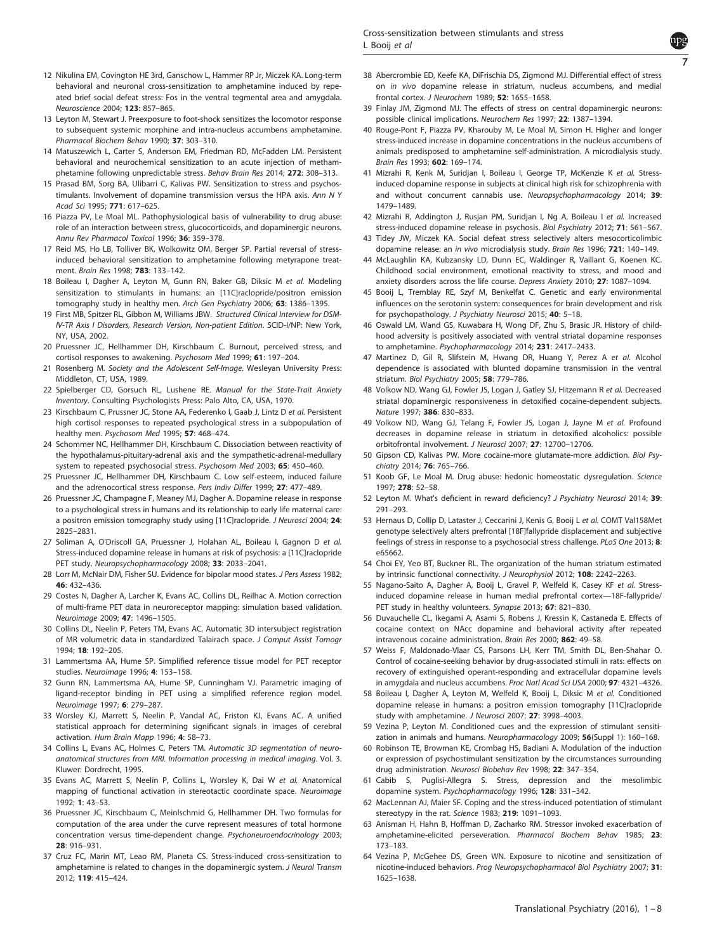- <span id="page-6-0"></span>12 Nikulina EM, Covington HE 3rd, Ganschow L, Hammer RP Jr, Miczek KA. Long-term behavioral and neuronal cross-sensitization to amphetamine induced by repeated brief social defeat stress: Fos in the ventral tegmental area and amygdala. Neuroscience 2004; 123: 857–865.
- 13 Leyton M, Stewart J. Preexposure to foot-shock sensitizes the locomotor response to subsequent systemic morphine and intra-nucleus accumbens amphetamine. Pharmacol Biochem Behav 1990; 37: 303–310.
- 14 Matuszewich L, Carter S, Anderson EM, Friedman RD, McFadden LM. Persistent behavioral and neurochemical sensitization to an acute injection of methamphetamine following unpredictable stress. Behav Brain Res 2014; 272: 308–313.
- 15 Prasad BM, Sorg BA, Ulibarri C, Kalivas PW. Sensitization to stress and psychostimulants. Involvement of dopamine transmission versus the HPA axis. Ann N Y Acad Sci 1995; 771: 617–625.
- 16 Piazza PV, Le Moal ML. Pathophysiological basis of vulnerability to drug abuse: role of an interaction between stress, glucocorticoids, and dopaminergic neurons. Annu Rev Pharmacol Toxicol 1996; 36: 359–378.
- 17 Reid MS, Ho LB, Tolliver BK, Wolkowitz OM, Berger SP. Partial reversal of stressinduced behavioral sensitization to amphetamine following metyrapone treatment. Brain Res 1998; 783: 133–142.
- 18 Boileau I, Dagher A, Leyton M, Gunn RN, Baker GB, Diksic M et al. Modeling sensitization to stimulants in humans: an [11C]raclopride/positron emission tomography study in healthy men. Arch Gen Psychiatry 2006; 63: 1386-1395.
- 19 First MB, Spitzer RL, Gibbon M, Williams JBW. Structured Clinical Interview for DSM-IV-TR Axis I Disorders, Research Version, Non-patient Edition. SCID-I/NP: New York, NY, USA, 2002.
- 20 Pruessner JC, Hellhammer DH, Kirschbaum C. Burnout, perceived stress, and cortisol responses to awakening. Psychosom Med 1999; 61: 197–204.
- 21 Rosenberg M. Society and the Adolescent Self-Image. Wesleyan University Press: Middleton, CT, USA, 1989.
- 22 Spielberger CD, Gorsuch RL, Lushene RE. Manual for the State-Trait Anxiety Inventory. Consulting Psychologists Press: Palo Alto, CA, USA, 1970.
- 23 Kirschbaum C, Prussner JC, Stone AA, Federenko I, Gaab J, Lintz D et al. Persistent high cortisol responses to repeated psychological stress in a subpopulation of healthy men. Psychosom Med 1995; 57: 468-474.
- 24 Schommer NC, Hellhammer DH, Kirschbaum C. Dissociation between reactivity of the hypothalamus-pituitary-adrenal axis and the sympathetic-adrenal-medullary system to repeated psychosocial stress. Psychosom Med 2003; 65: 450–460.
- 25 Pruessner JC, Hellhammer DH, Kirschbaum C. Low self-esteem, induced failure and the adrenocortical stress response. Pers Indiv Differ 1999; 27: 477–489.
- 26 Pruessner JC, Champagne F, Meaney MJ, Dagher A. Dopamine release in response to a psychological stress in humans and its relationship to early life maternal care: a positron emission tomography study using [11C]raclopride. J Neurosci 2004; 24: 2825–2831.
- 27 Soliman A, O'Driscoll GA, Pruessner J, Holahan AL, Boileau I, Gagnon D et al. Stress-induced dopamine release in humans at risk of psychosis: a [11C]raclopride PET study. Neuropsychopharmacology 2008; 33: 2033–2041.
- 28 Lorr M, McNair DM, Fisher SU. Evidence for bipolar mood states. J Pers Assess 1982; 46: 432–436.
- 29 Costes N, Dagher A, Larcher K, Evans AC, Collins DL, Reilhac A. Motion correction of multi-frame PET data in neuroreceptor mapping: simulation based validation. Neuroimage 2009; 47: 1496–1505.
- 30 Collins DL, Neelin P, Peters TM, Evans AC. Automatic 3D intersubject registration of MR volumetric data in standardized Talairach space. J Comput Assist Tomogr 1994; 18: 192–205.
- 31 Lammertsma AA, Hume SP. Simplified reference tissue model for PET receptor studies. Neuroimage 1996; 4: 153–158.
- 32 Gunn RN, Lammertsma AA, Hume SP, Cunningham VJ. Parametric imaging of ligand-receptor binding in PET using a simplified reference region model. Neuroimage 1997; 6: 279–287.
- 33 Worsley KJ, Marrett S, Neelin P, Vandal AC, Friston KJ, Evans AC. A unified statistical approach for determining significant signals in images of cerebral activation. Hum Brain Mapp 1996; 4: 58–73.
- 34 Collins L, Evans AC, Holmes C, Peters TM. Automatic 3D segmentation of neuroanatomical structures from MRI. Information processing in medical imaging. Vol. 3. Kluwer: Dordrecht, 1995.
- 35 Evans AC, Marrett S, Neelin P, Collins L, Worsley K, Dai W et al. Anatomical mapping of functional activation in stereotactic coordinate space. Neuroimage 1992; 1: 43–53.
- 36 Pruessner JC, Kirschbaum C, Meinlschmid G, Hellhammer DH. Two formulas for computation of the area under the curve represent measures of total hormone concentration versus time-dependent change. Psychoneuroendocrinology 2003; 28: 916–931.
- 37 Cruz FC, Marin MT, Leao RM, Planeta CS. Stress-induced cross-sensitization to amphetamine is related to changes in the dopaminergic system. J Neural Transm 2012; 119: 415–424.
- 38 Abercrombie ED, Keefe KA, DiFrischia DS, Zigmond MJ. Differential effect of stress on in vivo dopamine release in striatum, nucleus accumbens, and medial frontal cortex. J Neurochem 1989; 52: 1655–1658.
- 39 Finlay JM, Zigmond MJ. The effects of stress on central dopaminergic neurons: possible clinical implications. Neurochem Res 1997; 22: 1387–1394.
- 40 Rouge-Pont F, Piazza PV, Kharouby M, Le Moal M, Simon H. Higher and longer stress-induced increase in dopamine concentrations in the nucleus accumbens of animals predisposed to amphetamine self-administration. A microdialysis study. Brain Res 1993; 602: 169–174.
- 41 Mizrahi R, Kenk M, Suridjan I, Boileau I, George TP, McKenzie K et al. Stressinduced dopamine response in subjects at clinical high risk for schizophrenia with and without concurrent cannabis use. Neuropsychopharmacology 2014: 39: 1479–1489.
- 42 Mizrahi R, Addington J, Rusjan PM, Suridjan I, Ng A, Boileau I et al. Increased stress-induced dopamine release in psychosis. Biol Psychiatry 2012; 71: 561–567.
- 43 Tidey JW, Miczek KA. Social defeat stress selectively alters mesocorticolimbic dopamine release: an in vivo microdialysis study. Brain Res 1996; 721: 140–149.
- 44 McLaughlin KA, Kubzansky LD, Dunn EC, Waldinger R, Vaillant G, Koenen KC. Childhood social environment, emotional reactivity to stress, and mood and anxiety disorders across the life course. Depress Anxiety 2010; 27: 1087–1094.
- 45 Booij L, Tremblay RE, Szyf M, Benkelfat C. Genetic and early environmental influences on the serotonin system: consequences for brain development and risk for psychopathology. J Psychiatry Neurosci 2015; 40: 5–18.
- 46 Oswald LM, Wand GS, Kuwabara H, Wong DF, Zhu S, Brasic JR. History of childhood adversity is positively associated with ventral striatal dopamine responses to amphetamine. Psychopharmacology 2014; 231: 2417–2433.
- 47 Martinez D, Gil R, Slifstein M, Hwang DR, Huang Y, Perez A et al. Alcohol dependence is associated with blunted dopamine transmission in the ventral striatum. Biol Psychiatry 2005; 58: 779–786.
- 48 Volkow ND, Wang GJ, Fowler JS, Logan J, Gatley SJ, Hitzemann R et al. Decreased striatal dopaminergic responsiveness in detoxified cocaine-dependent subjects. Nature 1997; 386: 830–833.
- 49 Volkow ND, Wang GJ, Telang F, Fowler JS, Logan J, Jayne M et al. Profound decreases in dopamine release in striatum in detoxified alcoholics: possible orbitofrontal involvement. J Neurosci 2007; 27: 12700–12706.
- 50 Gipson CD, Kalivas PW. More cocaine-more glutamate-more addiction. Biol Psychiatry 2014; 76: 765–766.
- 51 Koob GF, Le Moal M. Drug abuse: hedonic homeostatic dysregulation. Science 1997; 278: 52–58.
- 52 Leyton M. What's deficient in reward deficiency? J Psychiatry Neurosci 2014; 39: 291–293.
- 53 Hernaus D, Collip D, Lataster J, Ceccarini J, Kenis G, Booij L et al. COMT Val158Met genotype selectively alters prefrontal [18F]fallypride displacement and subjective feelings of stress in response to a psychosocial stress challenge. PLoS One 2013; 8: e65662.
- 54 Choi EY, Yeo BT, Buckner RL. The organization of the human striatum estimated by intrinsic functional connectivity. J Neurophysiol 2012; 108: 2242–2263.
- 55 Nagano-Saito A, Dagher A, Booij L, Gravel P, Welfeld K, Casey KF et al. Stressinduced dopamine release in human medial prefrontal cortex—18F-fallypride/ PET study in healthy volunteers. Synapse 2013; 67: 821–830.
- 56 Duvauchelle CL, Ikegami A, Asami S, Robens J, Kressin K, Castaneda E. Effects of cocaine context on NAcc dopamine and behavioral activity after repeated intravenous cocaine administration. Brain Res 2000: 862: 49-58
- 57 Weiss F, Maldonado-Vlaar CS, Parsons LH, Kerr TM, Smith DL, Ben-Shahar O. Control of cocaine-seeking behavior by drug-associated stimuli in rats: effects on recovery of extinguished operant-responding and extracellular dopamine levels in amygdala and nucleus accumbens. Proc Natl Acad Sci USA 2000; 97: 4321–4326.
- 58 Boileau I, Dagher A, Leyton M, Welfeld K, Booij L, Diksic M et al. Conditioned dopamine release in humans: a positron emission tomography [11C]raclopride study with amphetamine. J Neurosci 2007; 27: 3998–4003.
- 59 Vezina P, Leyton M. Conditioned cues and the expression of stimulant sensitization in animals and humans. Neuropharmacology 2009; 56(Suppl 1): 160-168.
- 60 Robinson TE, Browman KE, Crombag HS, Badiani A. Modulation of the induction or expression of psychostimulant sensitization by the circumstances surrounding drug administration. Neurosci Biobehav Rev 1998; 22: 347–354.
- 61 Cabib S, Puglisi-Allegra S. Stress, depression and the mesolimbic dopamine system. Psychopharmacology 1996; 128: 331–342.
- 62 MacLennan AJ, Maier SF. Coping and the stress-induced potentiation of stimulant stereotypy in the rat. Science 1983; 219: 1091–1093.
- 63 Anisman H, Hahn B, Hoffman D, Zacharko RM. Stressor invoked exacerbation of amphetamine-elicited perseveration. Pharmacol Biochem Behav 1985; 23: 173–183.
- 64 Vezina P, McGehee DS, Green WN. Exposure to nicotine and sensitization of nicotine-induced behaviors. Prog Neuropsychopharmacol Biol Psychiatry 2007; 31: 1625–1638.